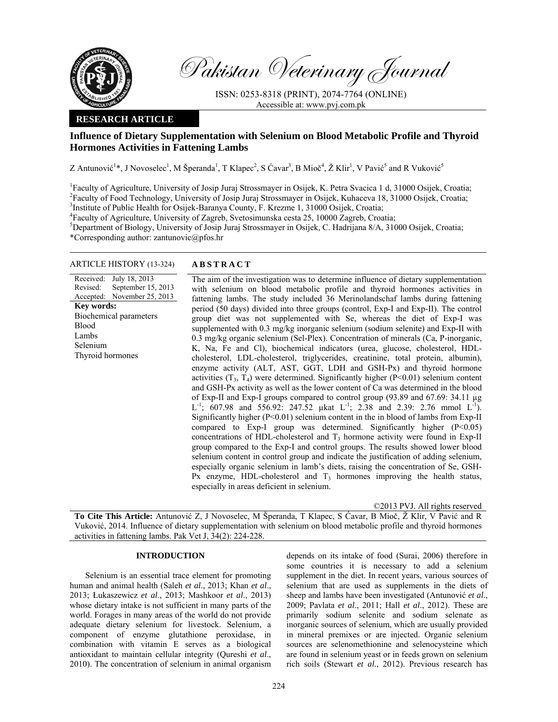

Pakistan Veterinary Journal

ISSN: 0253-8318 (PRINT), 2074-7764 (ONLINE) Accessible at: www.pvj.com.pk

## **RESEARCH ARTICLE**

# **Influence of Dietary Supplementation with Selenium on Blood Metabolic Profile and Thyroid Hormones Activities in Fattening Lambs**

Z Antunović<sup>1</sup>\*, J Novoselec<sup>1</sup>, M Šperanda<sup>1</sup>, T Klapec<sup>2</sup>, S Ćavar<sup>3</sup>, B Mioč<sup>4</sup>, Ž Klir<sup>1</sup>, V Pavić<sup>5</sup> and R Vuković<sup>5</sup>

<sup>1</sup> Faculty of Agriculture, University of Josip Juraj Strossmayer in Osijek, K. Petra Svacica 1 d, 31000 Osijek, Croatia; <sup>2</sup> Faculty of Food Technology, University of Josip Juraj Strossmayer in Osijek, Kubacaya 18, 31000 Faculty of Food Technology, University of Josip Juraj Strossmayer in Osijek, Kuhaceva 18, 31000 Osijek, Croatia; 3 <sup>3</sup>Institute of Public Health for Osijek-Baranya County, F. Krezme 1, 31000 Osijek, Croatia;

4 Faculty of Agriculture, University of Zagreb, Svetosimunska cesta 25, 10000 Zagreb, Croatia;

5 Department of Biology, University of Josip Juraj Strossmayer in Osijek, C. Hadrijana 8/A, 31000 Osijek, Croatia; \*Corresponding author: zantunovic@pfos.hr

## ARTICLE HISTORY (13-324) **ABSTRACT**

Received: Revised: Accepted: July 18, 2013 September 15, 2013 November 25, 2013 **Key words:**  Biochemical parameters Blood Lambs Selenium Thyroid hormones

 The aim of the investigation was to determine influence of dietary supplementation with selenium on blood metabolic profile and thyroid hormones activities in fattening lambs. The study included 36 Merinolandschaf lambs during fattening period (50 days) divided into three groups (control, Exp-I and Exp-II). The control group diet was not supplemented with Se, whereas the diet of Exp-I was supplemented with 0.3 mg/kg inorganic selenium (sodium selenite) and Exp-II with 0.3 mg/kg organic selenium (Sel-Plex). Concentration of minerals (Ca, P-inorganic, K, Na, Fe and Cl), biochemical indicators (urea, glucose, cholesterol, HDLcholesterol, LDL-cholesterol, triglycerides, creatinine, total protein, albumin), enzyme activity (ALT, AST, GGT, LDH and GSH-Px) and thyroid hormone activities  $(T_3, T_4)$  were determined. Significantly higher  $(P<0.01)$  selenium content and GSH-Px activity as well as the lower content of Ca was determined in the blood of Exp-II and Exp-I groups compared to control group (93.89 and 67.69: 34.11 µg L<sup>-1</sup>; 607.98 and 556.92: 247.52 µkat L<sup>-1</sup>; 2.38 and 2.39: 2.76 mmol L<sup>-1</sup>). Significantly higher (P<0.01) selenium content in the in blood of lambs from Exp-II compared to Exp-I group was determined. Significantly higher  $(P<0.05)$ concentrations of HDL-cholesterol and T<sub>3</sub> hormone activity were found in Exp-II group compared to the Exp-I and control groups. The results showed lower blood selenium content in control group and indicate the justification of adding selenium, especially organic selenium in lamb's diets, raising the concentration of Se, GSH-Px enzyme, HDL-cholesterol and  $T_3$  hormones improving the health status, especially in areas deficient in selenium.

©2013 PVJ. All rights reserved

**To Cite This Article:** Antunović Z, J Novoselec, M Šperanda, T Klapec, S Ćavar, B Mioč, Ž Klir, V Pavić and R Vuković, 2014. Influence of dietary supplementation with selenium on blood metabolic profile and thyroid hormones activities in fattening lambs. Pak Vet J, 34(2): 224-228.

## **INTRODUCTION**

Selenium is an essential trace element for promoting human and animal health (Saleh *et al*., 2013; Khan *et al*., 2013; Łukaszewicz *et al*., 2013; Mashkoor *et al*., 2013) whose dietary intake is not sufficient in many parts of the world. Forages in many areas of the world do not provide adequate dietary selenium for livestock. Selenium, a component of enzyme glutathione peroxidase, in combination with vitamin E serves as a biological antioxidant to maintain cellular integrity (Qureshi *et al*., 2010). The concentration of selenium in animal organism

depends on its intake of food (Surai, 2006) therefore in some countries it is necessary to add a selenium supplement in the diet. In recent years, various sources of selenium that are used as supplements in the diets of sheep and lambs have been investigated (Antunović *et al.*, 2009; Pavlata *et al*., 2011; Hall *et al*., 2012). These are primarily sodium selenite and sodium selenate as inorganic sources of selenium, which are usually provided in mineral premixes or are injected. Organic selenium sources are selenomethionine and selenocysteine which are found in selenium yeast or in feeds grown on selenium rich soils (Stewart *et al.*, 2012). Previous research has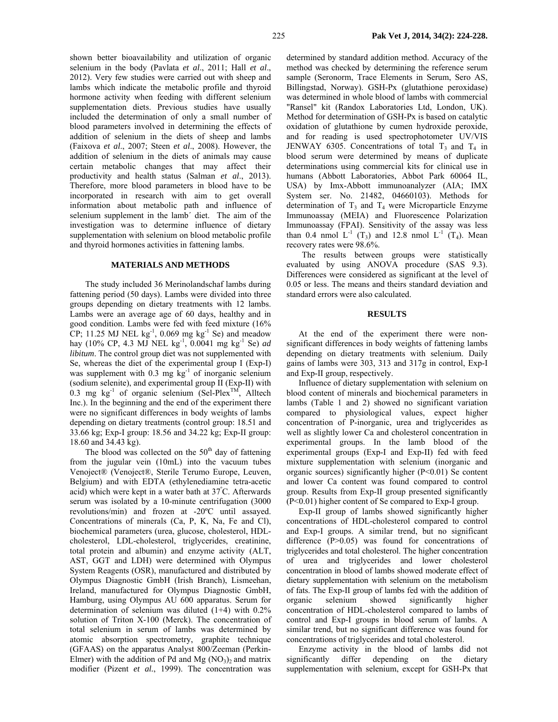shown better bioavailability and utilization of organic selenium in the body (Pavlata *et al*., 2011; Hall *et al*., 2012). Very few studies were carried out with sheep and lambs which indicate the metabolic profile and thyroid hormone activity when feeding with different selenium supplementation diets. Previous studies have usually included the determination of only a small number of blood parameters involved in determining the effects of addition of selenium in the diets of sheep and lambs (Faixova *et al*., 2007; Steen *et al*., 2008). However, the addition of selenium in the diets of animals may cause certain metabolic changes that may affect their productivity and health status (Salman *et al*., 2013). Therefore, more blood parameters in blood have to be incorporated in research with aim to get overall information about metabolic path and influence of selenium supplement in the lamb´ diet. The aim of the investigation was to determine influence of dietary supplementation with selenium on blood metabolic profile and thyroid hormones activities in fattening lambs.

#### **MATERIALS AND METHODS**

The study included 36 Merinolandschaf lambs during fattening period (50 days). Lambs were divided into three groups depending on dietary treatments with 12 lambs. Lambs were an average age of 60 days, healthy and in good condition. Lambs were fed with feed mixture (16% CP; 11.25 MJ NEL  $\text{kg}^{-1}$ , 0.069 mg  $\text{kg}^{-1}$  Se) and meadow hay (10% CP, 4.3 MJ NEL kg-1, 0.0041 mg kg-1 Se) *ad libitum*. The control group diet was not supplemented with Se, whereas the diet of the experimental group I (Exp-I) was supplement with  $0.3 \text{ mg kg}^{-1}$  of inorganic selenium (sodium selenite), and experimental group II (Exp-II) with 0.3 mg kg<sup>-1</sup> of organic selenium (Sel-Plex<sup>TM</sup>, Alltech Inc.). In the beginning and the end of the experiment there were no significant differences in body weights of lambs depending on dietary treatments (control group: 18.51 and 33.66 kg; Exp-I group: 18.56 and 34.22 kg; Exp-II group: 18.60 and 34.43 kg).

The blood was collected on the  $50<sup>th</sup>$  day of fattening from the jugular vein (10mL) into the vacuum tubes Venoject® (Venoject®, Sterile Terumo Europe, Leuven, Belgium) and with EDTA (ethylenediamine tetra-acetic acid) which were kept in a water bath at 37<sup>º</sup> C. Afterwards serum was isolated by a 10-minute centrifugation (3000 revolutions/min) and frozen at -20ºC until assayed. Concentrations of minerals (Ca, P, K, Na, Fe and Cl), biochemical parameters (urea, glucose, cholesterol, HDLcholesterol, LDL-cholesterol, triglycerides, creatinine, total protein and albumin) and enzyme activity (ALT, AST, GGT and LDH) were determined with Olympus System Reagents (OSR), manufactured and distributed by Olympus Diagnostic GmbH (Irish Branch), Lismeehan, Ireland, manufactured for Olympus Diagnostic GmbH, Hamburg, using Olympus AU 600 apparatus. Serum for determination of selenium was diluted (1+4) with 0.2% solution of Triton X-100 (Merck). The concentration of total selenium in serum of lambs was determined by atomic absorption spectrometry, graphite technique (GFAAS) on the apparatus Analyst 800/Zeeman (Perkin-Elmer) with the addition of Pd and Mg  $(NO<sub>3</sub>)<sub>2</sub>$  and matrix modifier (Pizent *et al.*, 1999). The concentration was

determined by standard addition method. Accuracy of the method was checked by determining the reference serum sample (Seronorm, Trace Elements in Serum, Sero AS, Billingstad, Norway). GSH-Px (glutathione peroxidase) was determined in whole blood of lambs with commercial "Ransel" kit (Randox Laboratories Ltd, London, UK). Method for determination of GSH-Px is based on catalytic oxidation of glutathione by cumen hydroxide peroxide, and for reading is used spectrophotometer UV/VIS JENWAY 6305. Concentrations of total  $T_3$  and  $T_4$  in blood serum were determined by means of duplicate determinations using commercial kits for clinical use in humans (Abbott Laboratories, Abbot Park 60064 IL, USA) by Imx-Abbott immunoanalyzer (AIA; IMX System ser. No. 21482, 04660103). Methods for determination of  $T_3$  and  $T_4$  were Microparticle Enzyme Immunoassay (MEIA) and Fluorescence Polarization Immunoassay (FPAI). Sensitivity of the assay was less than 0.4 nmol  $L^{-1}$  (T<sub>3</sub>) and 12.8 nmol  $L^{-1}$  (T<sub>4</sub>). Mean recovery rates were 98.6%.

The results between groups were statistically evaluated by using ANOVA procedure (SAS 9.3). Differences were considered as significant at the level of 0.05 or less. The means and theirs standard deviation and standard errors were also calculated.

### **RESULTS**

At the end of the experiment there were nonsignificant differences in body weights of fattening lambs depending on dietary treatments with selenium. Daily gains of lambs were 303, 313 and 317g in control, Exp-I and Exp-II group, respectively.

Influence of dietary supplementation with selenium on blood content of minerals and biochemical parameters in lambs (Table 1 and 2) showed no significant variation compared to physiological values, expect higher concentration of P-inorganic, urea and triglycerides as well as slightly lower Ca and cholesterol concentration in experimental groups. In the lamb blood of the experimental groups (Exp-I and Exp-II) fed with feed mixture supplementation with selenium (inorganic and organic sources) significantly higher (P<0.01) Se content and lower Ca content was found compared to control group. Results from Exp-II group presented significantly (P<0.01) higher content of Se compared to Exp-I group.

Exp-II group of lambs showed significantly higher concentrations of HDL-cholesterol compared to control and Exp-I groups. A similar trend, but no significant difference  $(P>0.05)$  was found for concentrations of triglycerides and total cholesterol. The higher concentration of urea and triglycerides and lower cholesterol concentration in blood of lambs showed moderate effect of dietary supplementation with selenium on the metabolism of fats. The Exp-II group of lambs fed with the addition of organic selenium showed significantly higher concentration of HDL-cholesterol compared to lambs of control and Exp-I groups in blood serum of lambs. A similar trend, but no significant difference was found for concentrations of triglycerides and total cholesterol.

Enzyme activity in the blood of lambs did not significantly differ depending on the dietary supplementation with selenium, except for GSH-Px that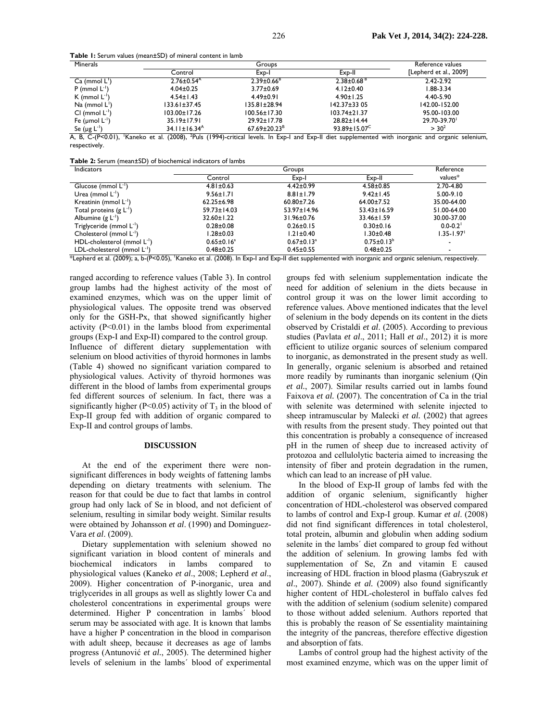**Table 1:** Serum values (mean±SD) of mineral content in lamb

| Minerals                  |                                | Groups                         |                           |                        |
|---------------------------|--------------------------------|--------------------------------|---------------------------|------------------------|
|                           | Control                        | Exp-I                          | Exp-II                    | [Lepherd et al., 2009] |
| $Ca \ (mmol L')$          | $2.76 \pm 0.54$                | $2.39 \pm 0.66^8$              | $2.38\pm0.68^{\,B}$       | 2.42-2.92              |
| $P$ (mmol $L^{-1}$ )      | $4.04 \pm 0.25$                | $3.77 \pm 0.69$                | $4.12 \pm 0.40$           | $1.88 - 3.34$          |
| K (mmol $L^{-1}$ )        | $4.54 \pm 1.43$                | $4.49 \pm 0.91$                | $4.90 \pm 1.25$           | 4.40-5.90              |
| Na (mmol $L^{\prime}$ )   | $133.61 \pm 37.45$             | $135.81 \pm 28.94$             | $142.37 \pm 33.05$        | 142.00-152.00          |
| $Cl$ (mmol $L^{-1}$ )     | $103.00 \pm 17.26$             | $100.56 \pm 17.30$             | $103.74 \pm 21.37$        | 95.00-103.00           |
| Fe ( $\mu$ mol $L^{-1}$ ) | 35.19±17.91                    | 29.92±17.78                    | 28.82±14.44               | 29.70-39.70            |
| Se $(\mu g L^{-1})$       | $34.11 \pm 16.34$ <sup>A</sup> | $67.69 \pm 20.23$ <sup>B</sup> | $93.89 \pm 15.07^{\circ}$ | > 30 <sup>2</sup>      |

A, B, C-(P<0.01), 'Kaneko et al. (2008), <sup>2</sup>Puls (1994)-critical levels. In Exp-I and Exp-II diet supplemented with inorganic and organic selenium, respectively.

**Table 2:** Serum (mean±SD) of biochemical indicators of lambs

| <b>Indicators</b>                                                                              | Groups                         |                              |                             | Reference                |
|------------------------------------------------------------------------------------------------|--------------------------------|------------------------------|-----------------------------|--------------------------|
|                                                                                                | Control                        | Exp-I                        | Exp-II                      | values*                  |
| Glucose (mmol $L^{-1}$ )                                                                       | $4.81 \pm 0.63$                | $4.42 \pm 0.99$              | $4.58 \pm 0.85$             | 2.70-4.80                |
| Urea (mmol $L^{-1}$ )                                                                          | $9.56 \pm 1.71$                | $8.81 \pm 1.79$              | $9.42 \pm 1.45$             | $5.00 - 9.10$            |
| Kreatinin (mmol $L^{-1}$ )                                                                     | $62.25 \pm 6.98$               | $60.80 \pm 7.26$             | $64.00 \pm 7.52$            | 35.00-64.00              |
| Total proteins $(g L^{-1})$                                                                    | $59.73 \pm 14.03$              | 53.97±14.96                  | $53.43 \pm 16.59$           | 51.00-64.00              |
| Albumine $(g L^{-1})$                                                                          | 32.60±1.22                     | 31.96±0.76                   | 33.46±1.59                  | 30.00-37.00              |
| Triglyceride (mmol L <sup>-1</sup> )                                                           | $0.28 + 0.08$                  | $0.26 \pm 0.15$              | $0.30 \pm 0.16$             | $0.0 - 0.2$ <sup>1</sup> |
| Cholesterol (mmol L-1)                                                                         | l.28±0.03                      | 1.21±0.40                    | 1.30±0.48                   | $1.35 - 1.97$            |
| HDL-cholesterol (mmol L-1)                                                                     | $0.65 \pm 0.16^a$              | $0.67 \pm 0.13$ <sup>a</sup> | $0.75 \pm 0.13^b$           |                          |
| LDL-cholesterol (mmol $L^{-1}$ )<br>$\frac{1}{2}$<br>$\mathbf{1}$<br>(0.000, 0.001)<br>(0.000) | $0.48 + 0.25$<br>(0.0001)<br>- | $0.45 \pm 0.55$<br>-<br>     | $0.48 \pm 0.25$<br>$\cdots$ | ۰                        |

\*Lepherd et al. (2009); a, b-(P<0.05), 1 Kaneko et al. (2008). In Exp-I and Exp-II diet supplemented with inorganic and organic selenium, respectively.

ranged according to reference values (Table 3). In control group lambs had the highest activity of the most of examined enzymes, which was on the upper limit of physiological values. The opposite trend was observed only for the GSH-Px, that showed significantly higher activity  $(P<0.01)$  in the lambs blood from experimental groups (Exp-I and Exp-II) compared to the control group. Influence of different dietary supplementation with selenium on blood activities of thyroid hormones in lambs (Table 4) showed no significant variation compared to physiological values. Activity of thyroid hormones was different in the blood of lambs from experimental groups fed different sources of selenium. In fact, there was a significantly higher (P<0.05) activity of  $T_3$  in the blood of Exp-II group fed with addition of organic compared to Exp-II and control groups of lambs.

## **DISCUSSION**

At the end of the experiment there were nonsignificant differences in body weights of fattening lambs depending on dietary treatments with selenium. The reason for that could be due to fact that lambs in control group had only lack of Se in blood, and not deficient of selenium, resulting in similar body weight. Similar results were obtained by Johansson *et al*. (1990) and Dominguez-Vara *et al*. (2009).

Dietary supplementation with selenium showed no significant variation in blood content of minerals and biochemical indicators in lambs compared to physiological values (Kaneko *et al*., 2008; Lepherd *et al*., 2009). Higher concentration of P-inorganic, urea and triglycerides in all groups as well as slightly lower Ca and cholesterol concentrations in experimental groups were determined. Higher P concentration in lambs´ blood serum may be associated with age. It is known that lambs have a higher P concentration in the blood in comparison with adult sheep, because it decreases as age of lambs progress (Antunović *et al.*, 2005). The determined higher levels of selenium in the lambs´ blood of experimental

groups fed with selenium supplementation indicate the need for addition of selenium in the diets because in control group it was on the lower limit according to reference values. Above mentioned indicates that the level of selenium in the body depends on its content in the diets observed by Cristaldi *et al*. (2005). According to previous studies (Pavlata *et al*., 2011; Hall *et al*., 2012) it is more efficient to utilize organic sources of selenium compared to inorganic, as demonstrated in the present study as well. In generally, organic selenium is absorbed and retained more readily by ruminants than inorganic selenium (Qin *et al.*, 2007). Similar results carried out in lambs found Faixova *et al.* (2007). The concentration of Ca in the trial with selenite was determined with selenite injected to sheep intramuscular by Malecki *et al.* (2002) that agrees with results from the present study. They pointed out that this concentration is probably a consequence of increased pH in the rumen of sheep due to increased activity of protozoa and cellulolytic bacteria aimed to increasing the intensity of fiber and protein degradation in the rumen, which can lead to an increase of pH value.

In the blood of Exp-II group of lambs fed with the addition of organic selenium, significantly higher concentration of HDL-cholesterol was observed compared to lambs of control and Exp-I group. Kumar *et al*. (2008) did not find significant differences in total cholesterol, total protein, albumin and globulin when adding sodium selenite in the lambs´ diet compared to group fed without the addition of selenium. In growing lambs fed with supplementation of Se, Zn and vitamin E caused increasing of HDL fraction in blood plasma (Gabryszuk *et al*., 2007). Shinde *et al.* (2009) also found significantly higher content of HDL-cholesterol in buffalo calves fed with the addition of selenium (sodium selenite) compared to those without added selenium. Authors reported that this is probably the reason of Se essentiality maintaining the integrity of the pancreas, therefore effective digestion and absorption of fats.

Lambs of control group had the highest activity of the most examined enzyme, which was on the upper limit of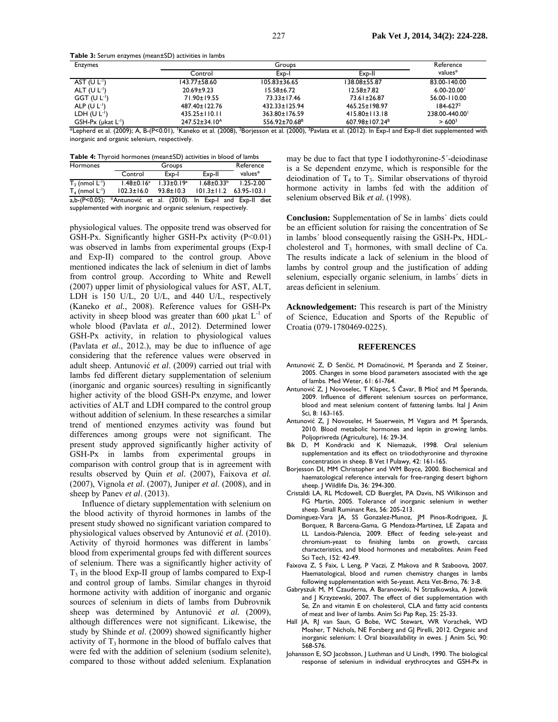**Table 3:** Serum enzymes (mean±SD) activities in lambs

| <b>Enzymes</b>                                              | Groups                                                                      |                                                      |                                                                     | Reference          |
|-------------------------------------------------------------|-----------------------------------------------------------------------------|------------------------------------------------------|---------------------------------------------------------------------|--------------------|
|                                                             | Control                                                                     | Exp-l                                                | Exp-II                                                              | values*            |
| AST $(U L-1)$                                               | $143.77 + 58.60$                                                            | $105.83 \pm 36.65$                                   | 38.08±55.87                                                         | 83.00-140.00       |
| ALT $(U L1)$                                                | $20.69 + 9.23$                                                              | $15.58 \pm 6.72$                                     | $12.58 \pm 7.82$                                                    | $6.00 - 20.00$     |
| GGT (UL <sup>1</sup> )                                      | 71.90±19.55                                                                 | 73.33±17.46                                          | 73.61±26.87                                                         | 56.00-110.00       |
| ALP $(U L1)$                                                | 487.40±122.76                                                               | 432.33±125.94                                        | 465.25±198.97                                                       | $184 - 627^2$      |
| LDH $(U L-1)$                                               | $435.25 \pm 110.11$                                                         | 363.80±176.59                                        | $415.80 \pm 113.18$                                                 | 238.00-440.00      |
| $GSH-Px$ ( $\mu$ kat $L^{-1}$ )<br>$\frac{1}{2}$<br>(0.000) | $247.52 \pm 34.10^{\circ}$<br>$(0.000)$ $\sqrt{25}$<br>$R \left( R \right)$ | 556.92±70.68 <sup>B</sup><br>$\sim$ $(0.000)$ $\sim$ | $607.98 \pm 107.24$ <sup>B</sup><br>$(0.010)$ $\blacksquare$<br>. . | > 600 <sup>3</sup> |

\*Lepherd et al. (2009); A, B-(P<0.01), 'Kaneko et al. (2008), <sup>2</sup>Borjesson et al. (2000), <sup>3</sup>Pavlata et al. (2012). In Exp-I and Exp-II diet supplemented with inorganic and organic selenium, respectively.

**Table 4:** Thyroid hormones (mean±SD) activities in blood of lambs

| Hormones                                                        |                                                                  | Groups            |                              | Reference     |
|-----------------------------------------------------------------|------------------------------------------------------------------|-------------------|------------------------------|---------------|
|                                                                 | Control                                                          | Exp-I             | Exp-II                       | $values*$     |
| $T_3$ (nmol $L^{-1}$ )                                          | $1.48 \pm 0.16^a$                                                | $1.33 \pm 0.19^a$ | $1.68 \pm 0.33^b$            | $1.25 - 2.00$ |
| $T_4$ (nmol $L^{-1}$ )                                          | $102.3 \pm 16.0$                                                 | $93.8 \pm 10.3$   | $101.3 \pm 11.2$ 63.95-103.1 |               |
|                                                                 | a,b-(P<0.05); *Antunović et al. (2010). In Exp-I and Exp-II diet |                   |                              |               |
| supplemented with inorganic and organic selenium, respectively. |                                                                  |                   |                              |               |

physiological values. The opposite trend was observed for GSH-Px. Significantly higher GSH-Px activity  $(P<0.01)$ was observed in lambs from experimental groups (Exp-I and Exp-II) compared to the control group. Above mentioned indicates the lack of selenium in diet of lambs from control group. According to White and Rewell (2007) upper limit of physiological values for AST, ALT, LDH is 150 U/L, 20 U/L, and 440 U/L, respectively (Kaneko *et al.*, 2008). Reference values for GSH-Px activity in sheep blood was greater than 600  $\mu$ kat L<sup>-1</sup> of whole blood (Pavlata *et al.*, 2012). Determined lower GSH-Px activity, in relation to physiological values (Pavlata *et al.*, 2012.), may be due to influence of age considering that the reference values were observed in adult sheep. Antunović *et al*. (2009) carried out trial with lambs fed different dietary supplementation of selenium (inorganic and organic sources) resulting in significantly higher activity of the blood GSH-Px enzyme, and lower activities of ALT and LDH compared to the control group without addition of selenium. In these researches a similar trend of mentioned enzymes activity was found but differences among groups were not significant. The present study approved significantly higher activity of GSH-Px in lambs from experimental groups in comparison with control group that is in agreement with results observed by Quin *et al.* (2007), Faixova *et al.* (2007), Vignola *et al*. (2007), Juniper *et al*. (2008), and in sheep by Panev *et al*. (2013).

Influence of dietary supplementation with selenium on the blood activity of thyroid hormones in lambs of the present study showed no significant variation compared to physiological values observed by Antunović *et al.* (2010). Activity of thyroid hormones was different in lambs´ blood from experimental groups fed with different sources of selenium. There was a significantly higher activity of  $T_3$  in the blood Exp-II group of lambs compared to Exp-I and control group of lambs. Similar changes in thyroid hormone activity with addition of inorganic and organic sources of selenium in diets of lambs from Dubrovnik sheep was determined by Antunović et al. (2009), although differences were not significant. Likewise, the study by Shinde *et al*. (2009) showed significantly higher activity of  $T_3$  hormone in the blood of buffalo calves that were fed with the addition of selenium (sodium selenite), compared to those without added selenium. Explanation

may be due to fact that type I iodothyronine-5´-deiodinase is a Se dependent enzyme, which is responsible for the deiodination of  $T_4$  to  $T_3$ . Similar observations of thyroid hormone activity in lambs fed with the addition of selenium observed Bik *et al.* (1998).

**Conclusion:** Supplementation of Se in lambs´ diets could be an efficient solution for raising the concentration of Se in lambs´ blood consequently raising the GSH-Px, HDLcholesterol and  $T_3$  hormones, with small decline of Ca. The results indicate a lack of selenium in the blood of lambs by control group and the justification of adding selenium, especially organic selenium, in lambs´ diets in areas deficient in selenium.

**Acknowledgement:** This research is part of the Ministry of Science, Education and Sports of the Republic of Croatia (079-1780469-0225).

#### **REFERENCES**

- Antunović Z, Đ Senčić, M Domaćinović, M Šperanda and Z Steiner, 2005. Changes in some blood parameters associated with the age of lambs. Med Weter, 61: 61-764.
- Antunović Z, J Novoselec, T Klapec, S Čavar, B Mioč and M Šperanda, 2009. Influence of different selenium sources on performance, blood and meat selenium content of fattening lambs. Ital | Anim Sci, 8: 163-165.
- Antunović Z, J Novoselec, H Sauerwein, M Vegara and M Šperanda, 2010. Blood metabolic hormones and leptin in growing lambs. Poljoprivreda (Agriculture), 16: 29-34.
- Bik D, M Kondracki and K Niemazuk, 1998. Oral selenium supplementation and its effect on triiodothyronine and thyroxine concentration in sheep. B Vet I Pulawy, 42: 161-165.
- Borjesson DI, MM Christopher and WM Boyce, 2000. Biochemical and haematological reference intervals for free-ranging desert bighorn sheep. J Wildlife Dis, 36: 294-300.
- Cristaldi LA, RL Mcdowell, CD Buerglet, PA Davis, NS Wilkinson and FG Martin, 2005. Tolerance of inorganic selenium in wether sheep. Small Ruminant Res, 56: 205-213.
- Dominguez-Vara JA, SS Gonzalez-Munoz, JM Pinos-Rodriguez, JL Borquez, R Barcena-Gama, G Mendoza-Martinez, LE Zapata and LL Landois-Palencia, 2009. Effect of feeding sele-yeast and chromium-yeast to finishing lambs on growth, carcass characteristics, and blood hormones and metabolites. Anim Feed Sci Tech, 152: 42-49.
- Faixova Z, S Faix, L Leng, P Vaczi, Z Makova and R Szaboova, 2007. Haematological, blood and rumen chemistry changes in lambs following supplementation with Se-yeast. Acta Vet-Brno, 76: 3-8.
- Gabryszuk M, M Czauderna, A Baranowski, N Strzalkowska, A Jozwik and J Krzyzewski, 2007. The effect of diet supplementation with Se, Zn and vitamin E on cholesterol, CLA and fatty acid contents of meat and liver of lambs. Anim Sci Pap Rep, 25: 25-33.
- Hall JA, RJ van Saun, G Bobe, WC Stewart, WR Vorachek, WD Mosher, T Nichols, NE Forsberg and GJ Pirelli, 2012. Organic and inorganic selenium: I. Oral bioavailability in ewes. J Anim Sci, 90: 568-576.
- Johansson E, SO Jacobsson, J Luthman and U Lindh, 1990. The biological response of selenium in individual erythrocytes and GSH-Px in